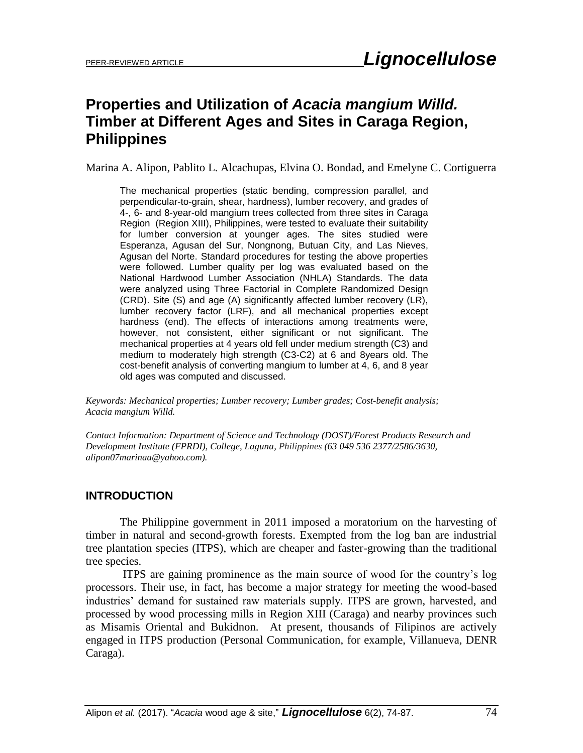# **Properties and Utilization of** *Acacia mangium Willd.* **Timber at Different Ages and Sites in Caraga Region, Philippines**

Marina A. Alipon, Pablito L. Alcachupas, Elvina O. Bondad, and Emelyne C. Cortiguerra

The mechanical properties (static bending, compression parallel, and perpendicular-to-grain, shear, hardness), lumber recovery, and grades of 4-, 6- and 8-year-old mangium trees collected from three sites in Caraga Region (Region XIII), Philippines, were tested to evaluate their suitability for lumber conversion at younger ages. The sites studied were Esperanza, Agusan del Sur, Nongnong, Butuan City, and Las Nieves, Agusan del Norte. Standard procedures for testing the above properties were followed. Lumber quality per log was evaluated based on the National Hardwood Lumber Association (NHLA) Standards. The data were analyzed using Three Factorial in Complete Randomized Design (CRD). Site (S) and age (A) significantly affected lumber recovery (LR), lumber recovery factor (LRF), and all mechanical properties except hardness (end). The effects of interactions among treatments were, however, not consistent, either significant or not significant. The mechanical properties at 4 years old fell under medium strength (C3) and medium to moderately high strength (C3-C2) at 6 and 8years old. The cost-benefit analysis of converting mangium to lumber at 4, 6, and 8 year old ages was computed and discussed.

*Keywords: Mechanical properties; Lumber recovery; Lumber grades; Cost-benefit analysis; Acacia mangium Willd.*

*Contact Information: Department of Science and Technology (DOST)/Forest Products Research and Development Institute (FPRDI), College, Laguna, Philippines (63 049 536 2377/2586/3630, alipon07marinaa@yahoo.com).*

# **INTRODUCTION**

The Philippine government in 2011 imposed a moratorium on the harvesting of timber in natural and second-growth forests. Exempted from the log ban are industrial tree plantation species (ITPS), which are cheaper and faster-growing than the traditional tree species.

ITPS are gaining prominence as the main source of wood for the country's log processors. Their use, in fact, has become a major strategy for meeting the wood-based industries' demand for sustained raw materials supply. ITPS are grown, harvested, and processed by wood processing mills in Region XIII (Caraga) and nearby provinces such as Misamis Oriental and Bukidnon. At present, thousands of Filipinos are actively engaged in ITPS production (Personal Communication, for example, Villanueva, DENR Caraga).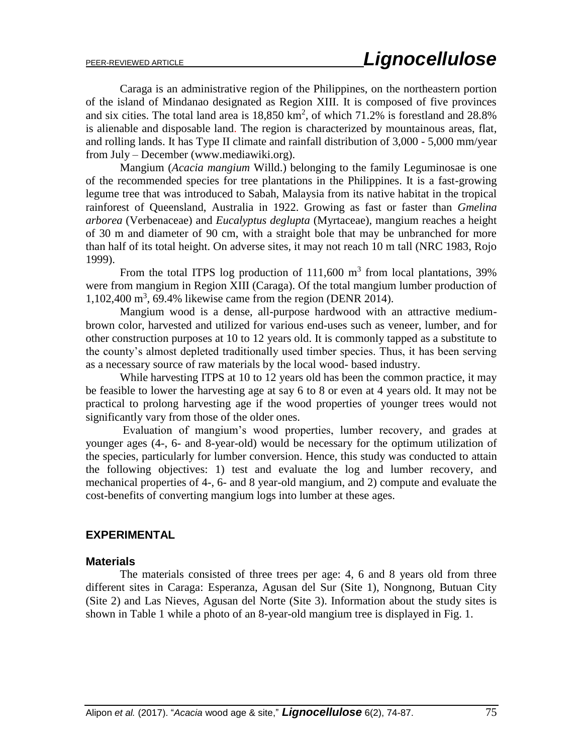Caraga is an administrative region of the Philippines, on the northeastern portion of the island of Mindanao designated as Region XIII. It is composed of five provinces and six cities. The total land area is  $18,850 \text{ km}^2$ , of which  $71.2\%$  is forestland and  $28.8\%$ is alienable and disposable land. The region is characterized by mountainous areas, flat, and rolling lands. It has Type II climate and rainfall distribution of 3,000 - 5,000 mm/year from July – December [\(www.mediawiki.org\)](http://www.mediawiki.org/).

Mangium (*Acacia mangium* Willd.) belonging to the family Leguminosae is one of the recommended species for tree plantations in the Philippines. It is a fast-growing legume tree that was introduced to Sabah, Malaysia from its native habitat in the tropical rainforest of Queensland, Australia in 1922. Growing as fast or faster than *Gmelina arborea* (Verbenaceae) and *Eucalyptus deglupta* (Myrtaceae), mangium reaches a height of 30 m and diameter of 90 cm, with a straight bole that may be unbranched for more than half of its total height. On adverse sites, it may not reach 10 m tall (NRC 1983, Rojo 1999).

From the total ITPS log production of  $111,600$  m<sup>3</sup> from local plantations, 39% were from mangium in Region XIII (Caraga). Of the total mangium lumber production of 1,102,400 m<sup>3</sup> , 69.4% likewise came from the region (DENR 2014).

Mangium wood is a dense, all-purpose hardwood with an attractive mediumbrown color, harvested and utilized for various end-uses such as veneer, lumber, and for other construction purposes at 10 to 12 years old. It is commonly tapped as a substitute to the county's almost depleted traditionally used timber species. Thus, it has been serving as a necessary source of raw materials by the local wood- based industry.

While harvesting ITPS at 10 to 12 years old has been the common practice, it may be feasible to lower the harvesting age at say 6 to 8 or even at 4 years old. It may not be practical to prolong harvesting age if the wood properties of younger trees would not significantly vary from those of the older ones.

Evaluation of mangium's wood properties, lumber recovery, and grades at younger ages (4-, 6- and 8-year-old) would be necessary for the optimum utilization of the species, particularly for lumber conversion. Hence, this study was conducted to attain the following objectives: 1) test and evaluate the log and lumber recovery, and mechanical properties of 4-, 6- and 8 year-old mangium, and 2) compute and evaluate the cost-benefits of converting mangium logs into lumber at these ages.

# **EXPERIMENTAL**

### **Materials**

The materials consisted of three trees per age: 4, 6 and 8 years old from three different sites in Caraga: Esperanza, Agusan del Sur (Site 1), Nongnong, Butuan City (Site 2) and Las Nieves, Agusan del Norte (Site 3). Information about the study sites is shown in Table 1 while a photo of an 8-year-old mangium tree is displayed in Fig. 1.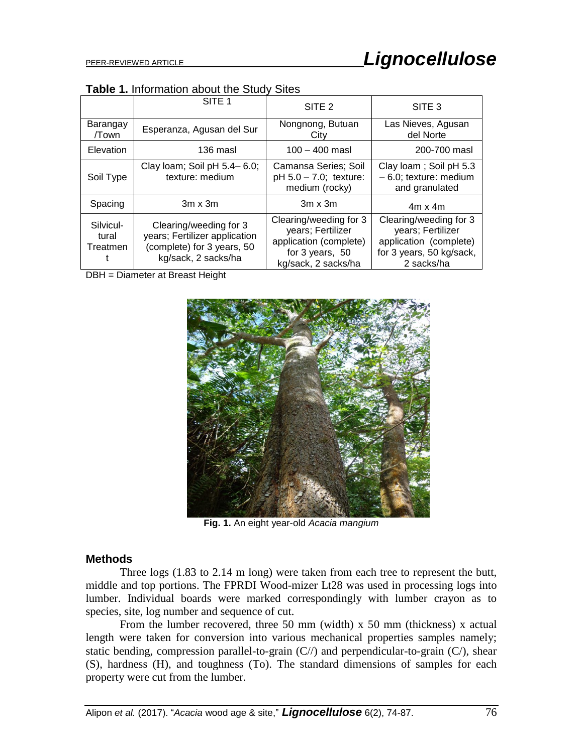| Table 1. Information about the Study Sites |  |  |  |
|--------------------------------------------|--|--|--|
|--------------------------------------------|--|--|--|

|                                | SITE <sub>1</sub>                                                                                            | SITE <sub>2</sub>                                                                                               | SITE <sub>3</sub>                                                                                               |
|--------------------------------|--------------------------------------------------------------------------------------------------------------|-----------------------------------------------------------------------------------------------------------------|-----------------------------------------------------------------------------------------------------------------|
| Barangay<br>/Town              | Nongnong, Butuan<br>Esperanza, Agusan del Sur<br>City                                                        |                                                                                                                 | Las Nieves, Agusan<br>del Norte                                                                                 |
| Elevation                      | 136 masl                                                                                                     | $100 - 400$ masl                                                                                                | 200-700 masl                                                                                                    |
| Soil Type                      | Clay Ioam; Soil pH 5.4-6.0;<br>texture: medium                                                               | Camansa Series; Soil<br>$pH 5.0 - 7.0$ ; texture:<br>medium (rocky)                                             | Clay Ioam; Soil pH 5.3<br>$-6.0$ ; texture: medium<br>and granulated                                            |
| Spacing                        | $3m \times 3m$                                                                                               | $3m \times 3m$                                                                                                  | $4m \times 4m$                                                                                                  |
| Silvicul-<br>tural<br>Treatmen | Clearing/weeding for 3<br>years; Fertilizer application<br>(complete) for 3 years, 50<br>kg/sack, 2 sacks/ha | Clearing/weeding for 3<br>years; Fertilizer<br>application (complete)<br>for 3 years, 50<br>kg/sack, 2 sacks/ha | Clearing/weeding for 3<br>years; Fertilizer<br>application (complete)<br>for 3 years, 50 kg/sack,<br>2 sacks/ha |

DBH = Diameter at Breast Height



**Fig. 1.** An eight year-old *Acacia mangium*

# **Methods**

Three logs (1.83 to 2.14 m long) were taken from each tree to represent the butt, middle and top portions. The FPRDI Wood-mizer Lt28 was used in processing logs into lumber. Individual boards were marked correspondingly with lumber crayon as to species, site, log number and sequence of cut.

From the lumber recovered, three 50 mm (width) x 50 mm (thickness) x actual length were taken for conversion into various mechanical properties samples namely; static bending, compression parallel-to-grain  $(C)/$ ) and perpendicular-to-grain  $(C)$ , shear (S), hardness (H), and toughness (To). The standard dimensions of samples for each property were cut from the lumber.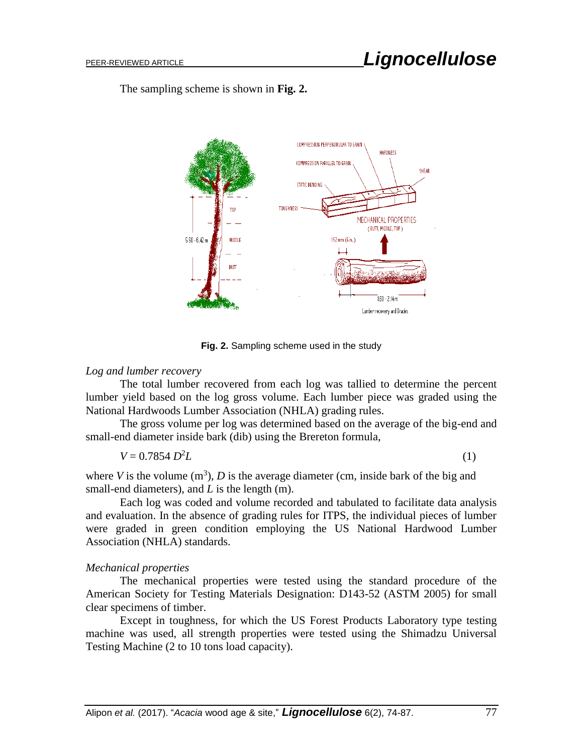The sampling scheme is shown in **Fig. 2.**



**Fig. 2.** Sampling scheme used in the study

# *Log and lumber recovery*

The total lumber recovered from each log was tallied to determine the percent lumber yield based on the log gross volume. Each lumber piece was graded using the National Hardwoods Lumber Association (NHLA) grading rules.

The gross volume per log was determined based on the average of the big-end and small-end diameter inside bark (dib) using the Brereton formula,

$$
V = 0.7854 D^2 L \tag{1}
$$

where *V* is the volume  $(m^3)$ , *D* is the average diameter (cm, inside bark of the big and small-end diameters), and *L* is the length (m).

Each log was coded and volume recorded and tabulated to facilitate data analysis and evaluation. In the absence of grading rules for ITPS, the individual pieces of lumber were graded in green condition employing the US National Hardwood Lumber Association (NHLA) standards.

# *Mechanical properties*

The mechanical properties were tested using the standard procedure of the American Society for Testing Materials Designation: D143-52 (ASTM 2005) for small clear specimens of timber.

Except in toughness, for which the US Forest Products Laboratory type testing machine was used, all strength properties were tested using the Shimadzu Universal Testing Machine (2 to 10 tons load capacity).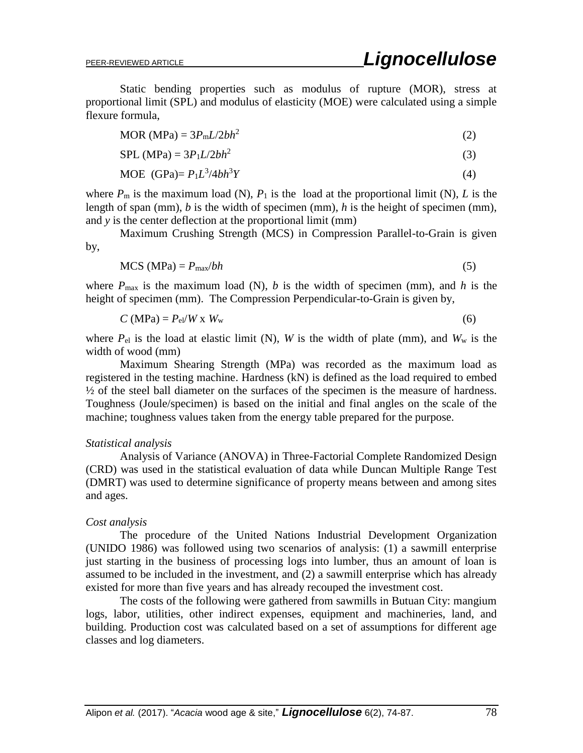Static bending properties such as modulus of rupture (MOR), stress at proportional limit (SPL) and modulus of elasticity (MOE) were calculated using a simple flexure formula,

$$
MOR (MPa) = 3P_m L/2bh^2
$$
 (2)

$$
SPL (MPa) = 3P1L/2bh2
$$
 (3)

$$
MOE (GPa) = P_1L^3/4bh^3Y
$$
 (4)

where  $P_m$  is the maximum load (N),  $P_1$  is the load at the proportional limit (N), *L* is the length of span (mm), *b* is the width of specimen (mm), *h* is the height of specimen (mm), and *y* is the center deflection at the proportional limit (mm)

Maximum Crushing Strength (MCS) in Compression Parallel-to-Grain is given by,

$$
MCS (MPa) = P_{\text{max}}/bh \tag{5}
$$

where  $P_{\text{max}}$  is the maximum load (N), *b* is the width of specimen (mm), and *h* is the height of specimen (mm). The Compression Perpendicular-to-Grain is given by,

$$
C (MPa) = Pel/W x Ww
$$
 (6)

where  $P_{el}$  is the load at elastic limit (N), *W* is the width of plate (mm), and  $W_w$  is the width of wood (mm)

Maximum Shearing Strength (MPa) was recorded as the maximum load as registered in the testing machine. Hardness (kN) is defined as the load required to embed ½ of the steel ball diameter on the surfaces of the specimen is the measure of hardness. Toughness (Joule/specimen) is based on the initial and final angles on the scale of the machine; toughness values taken from the energy table prepared for the purpose.

#### *Statistical analysis*

Analysis of Variance (ANOVA) in Three-Factorial Complete Randomized Design (CRD) was used in the statistical evaluation of data while Duncan Multiple Range Test (DMRT) was used to determine significance of property means between and among sites and ages.

#### *Cost analysis*

The procedure of the United Nations Industrial Development Organization (UNIDO 1986) was followed using two scenarios of analysis: (1) a sawmill enterprise just starting in the business of processing logs into lumber, thus an amount of loan is assumed to be included in the investment, and (2) a sawmill enterprise which has already existed for more than five years and has already recouped the investment cost.

The costs of the following were gathered from sawmills in Butuan City: mangium logs, labor, utilities, other indirect expenses, equipment and machineries, land, and building. Production cost was calculated based on a set of assumptions for different age classes and log diameters.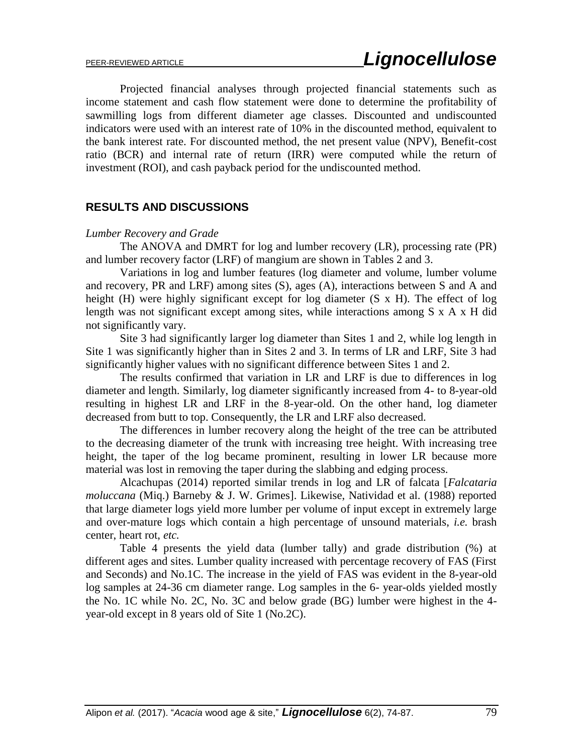Projected financial analyses through projected financial statements such as income statement and cash flow statement were done to determine the profitability of sawmilling logs from different diameter age classes. Discounted and undiscounted indicators were used with an interest rate of 10% in the discounted method, equivalent to the bank interest rate. For discounted method, the net present value (NPV), Benefit-cost ratio (BCR) and internal rate of return (IRR) were computed while the return of investment (ROI), and cash payback period for the undiscounted method.

# **RESULTS AND DISCUSSIONS**

### *Lumber Recovery and Grade*

The ANOVA and DMRT for log and lumber recovery (LR), processing rate (PR) and lumber recovery factor (LRF) of mangium are shown in Tables 2 and 3.

Variations in log and lumber features (log diameter and volume, lumber volume and recovery, PR and LRF) among sites (S), ages (A), interactions between S and A and height (H) were highly significant except for log diameter (S x H). The effect of log length was not significant except among sites, while interactions among S x A x H did not significantly vary.

Site 3 had significantly larger log diameter than Sites 1 and 2, while log length in Site 1 was significantly higher than in Sites 2 and 3. In terms of LR and LRF, Site 3 had significantly higher values with no significant difference between Sites 1 and 2.

The results confirmed that variation in LR and LRF is due to differences in log diameter and length. Similarly, log diameter significantly increased from 4- to 8-year-old resulting in highest LR and LRF in the 8-year-old. On the other hand, log diameter decreased from butt to top. Consequently, the LR and LRF also decreased.

The differences in lumber recovery along the height of the tree can be attributed to the decreasing diameter of the trunk with increasing tree height. With increasing tree height, the taper of the log became prominent, resulting in lower LR because more material was lost in removing the taper during the slabbing and edging process.

Alcachupas (2014) reported similar trends in log and LR of falcata [*Falcataria moluccana* (Miq.) Barneby & J. W. Grimes]. Likewise, Natividad et al. (1988) reported that large diameter logs yield more lumber per volume of input except in extremely large and over-mature logs which contain a high percentage of unsound materials, *i.e.* brash center, heart rot, *etc.*

Table 4 presents the yield data (lumber tally) and grade distribution (%) at different ages and sites. Lumber quality increased with percentage recovery of FAS (First and Seconds) and No.1C. The increase in the yield of FAS was evident in the 8-year-old log samples at 24-36 cm diameter range. Log samples in the 6- year-olds yielded mostly the No. 1C while No. 2C, No. 3C and below grade (BG) lumber were highest in the 4 year-old except in 8 years old of Site 1 (No.2C).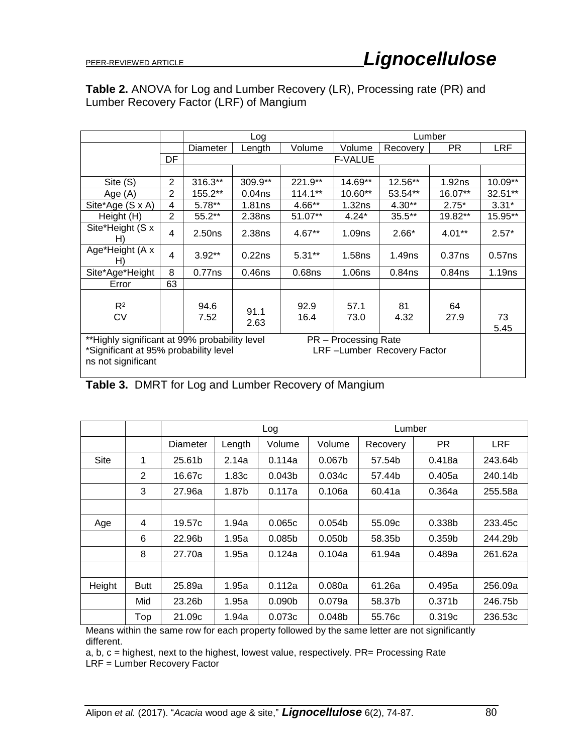# **Table 2.** ANOVA for Log and Lumber Recovery (LR), Processing rate (PR) and Lumber Recovery Factor (LRF) of Mangium

|                                                                                                                                                                    |                |                    | Log                |                    | Lumber             |                    |                    |            |  |
|--------------------------------------------------------------------------------------------------------------------------------------------------------------------|----------------|--------------------|--------------------|--------------------|--------------------|--------------------|--------------------|------------|--|
|                                                                                                                                                                    |                | Diameter           | Length             | Volume             | Volume             | Recovery           | PR.                | <b>LRF</b> |  |
|                                                                                                                                                                    | DF             |                    |                    |                    | <b>F-VALUE</b>     |                    |                    |            |  |
|                                                                                                                                                                    |                |                    |                    |                    |                    |                    |                    |            |  |
| Site (S)                                                                                                                                                           | $\overline{2}$ | 316.3**            | 309.9**            | 221.9**            | 14.69**            | 12.56**            | 1.92ns             | $10.09**$  |  |
| Age (A)                                                                                                                                                            | 2              | 155.2**            | 0.04 <sub>ns</sub> | $114.1**$          | 10.60**            | 53.54**            | 16.07**            | 32.51**    |  |
| Site*Age (S x A)                                                                                                                                                   | 4              | $5.78**$           | 1.81ns             | 4.66**             | 1.32ns             | $4.30**$           | $2.75*$            | $3.31*$    |  |
| Height (H)                                                                                                                                                         | $\overline{2}$ | $55.2**$           | 2.38ns             | 51.07**            | $4.24*$            | $35.5***$          | 19.82**            | 15.95**    |  |
| Site*Height (S x<br>H)                                                                                                                                             | 4              | 2.50 <sub>ns</sub> | 2.38ns             | $4.67**$           | 1.09 <sub>ns</sub> | $2.66*$            | $4.01***$          | $2.57*$    |  |
| Age*Height (A x<br>H)                                                                                                                                              | 4              | $3.92**$           | 0.22ns             | $5.31**$           | 1.58 <sub>ns</sub> | 1.49 <sub>ns</sub> | 0.37 <sub>ns</sub> | $0.57$ ns  |  |
| Site*Age*Height                                                                                                                                                    | 8              | 0.77ns             | 0.46 <sub>ns</sub> | 0.68 <sub>ns</sub> | 1.06ns             | $0.84$ ns          | $0.84$ ns          | 1.19ns     |  |
| Error                                                                                                                                                              | 63             |                    |                    |                    |                    |                    |                    |            |  |
| $R^2$<br>СV                                                                                                                                                        |                | 94.6<br>7.52       | 91.1<br>2.63       | 92.9<br>16.4       | 57.1<br>73.0       | 81<br>4.32         | 64<br>27.9         | 73<br>5.45 |  |
| **Highly significant at 99% probability level<br>PR - Processing Rate<br>LRF-Lumber Recovery Factor<br>*Significant at 95% probability level<br>ns not significant |                |                    |                    |                    |                    |                    |                    |            |  |

**Table 3.** DMRT for Log and Lumber Recovery of Mangium

|        |             |          |        | Log                |                    | Lumber   |                    |            |  |
|--------|-------------|----------|--------|--------------------|--------------------|----------|--------------------|------------|--|
|        |             | Diameter | Length | Volume             | Volume             | Recovery | PR.                | <b>LRF</b> |  |
| Site   | 1           | 25.61b   | 2.14a  | 0.114a             | 0.067 <sub>b</sub> | 57.54b   | 0.418a             | 243.64b    |  |
|        | 2           | 16.67c   | 1.83c  | 0.043 <sub>b</sub> | 0.034c             | 57.44b   | 0.405a             | 240.14b    |  |
|        | 3           | 27.96a   | 1.87b  | 0.117a             | 0.106a             | 60.41a   | 0.364a             | 255.58a    |  |
|        |             |          |        |                    |                    |          |                    |            |  |
| Age    | 4           | 19.57c   | 1.94a  | 0.065c             | 0.054 <sub>b</sub> | 55.09c   | 0.338 <sub>b</sub> | 233.45c    |  |
|        | 6           | 22.96b   | 1.95a  | 0.085 <sub>b</sub> | 0.050 <sub>b</sub> | 58.35b   | 0.359 <sub>b</sub> | 244.29b    |  |
|        | 8           | 27.70a   | 1.95a  | 0.124a             | 0.104a             | 61.94a   | 0.489a             | 261.62a    |  |
|        |             |          |        |                    |                    |          |                    |            |  |
| Height | <b>Butt</b> | 25.89a   | 1.95a  | 0.112a             | 0.080a             | 61.26a   | 0.495a             | 256.09a    |  |
|        | Mid         | 23.26b   | 1.95a  | 0.090 <sub>b</sub> | 0.079a             | 58.37b   | 0.371 <sub>b</sub> | 246.75b    |  |
|        | Top         | 21.09c   | 1.94a  | 0.073c             | 0.048 <sub>b</sub> | 55.76c   | 0.319c             | 236.53c    |  |

Means within the same row for each property followed by the same letter are not significantly different.

a, b, c = highest, next to the highest, lowest value, respectively. PR= Processing Rate

LRF = Lumber Recovery Factor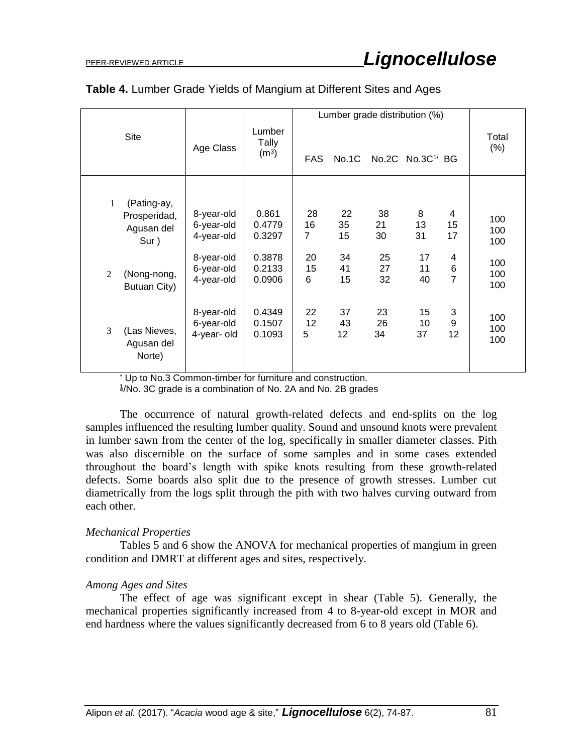|                                                        |                                        |                                      |                            |                |                | Lumber grade distribution (%)  |                              |                   |
|--------------------------------------------------------|----------------------------------------|--------------------------------------|----------------------------|----------------|----------------|--------------------------------|------------------------------|-------------------|
| <b>Site</b>                                            | Age Class                              | Lumber<br>Tally<br>(m <sup>3</sup> ) | <b>FAS</b>                 | No.1C          |                | No.2C $No.3C$ <sup>1/</sup> BG |                              | Total<br>$(\%)$   |
| 1<br>(Pating-ay,<br>Prosperidad,<br>Agusan del<br>Sur) | 8-year-old<br>6-year-old<br>4-year-old | 0.861<br>0.4779<br>0.3297            | 28<br>16<br>$\overline{7}$ | 22<br>35<br>15 | 38<br>21<br>30 | 8<br>13<br>31                  | 4<br>15<br>17                | 100<br>100<br>100 |
| 2<br>(Nong-nong,<br>Butuan City)                       | 8-year-old<br>6-year-old<br>4-year-old | 0.3878<br>0.2133<br>0.0906           | 20<br>15<br>6              | 34<br>41<br>15 | 25<br>27<br>32 | 17<br>11<br>40                 | 4<br>$\,6$<br>$\overline{7}$ | 100<br>100<br>100 |
| 3<br>(Las Nieves,<br>Agusan del<br>Norte)              | 8-year-old<br>6-year-old<br>4-year-old | 0.4349<br>0.1507<br>0.1093           | 22<br>12<br>5              | 37<br>43<br>12 | 23<br>26<br>34 | 15<br>10<br>37                 | 3<br>$\boldsymbol{9}$<br>12  | 100<br>100<br>100 |

# **Table 4.** Lumber Grade Yields of Mangium at Different Sites and Ages

Up to No.3 Common-timber for furniture and construction.

**1** /No. 3C grade is a combination of No. 2A and No. 2B grades

The occurrence of natural growth-related defects and end-splits on the log samples influenced the resulting lumber quality. Sound and unsound knots were prevalent in lumber sawn from the center of the log, specifically in smaller diameter classes. Pith was also discernible on the surface of some samples and in some cases extended throughout the board's length with spike knots resulting from these growth-related defects. Some boards also split due to the presence of growth stresses. Lumber cut diametrically from the logs split through the pith with two halves curving outward from each other.

# *Mechanical Properties*

Tables 5 and 6 show the ANOVA for mechanical properties of mangium in green condition and DMRT at different ages and sites, respectively.

# *Among Ages and Sites*

The effect of age was significant except in shear (Table 5). Generally, the mechanical properties significantly increased from 4 to 8-year-old except in MOR and end hardness where the values significantly decreased from 6 to 8 years old (Table 6).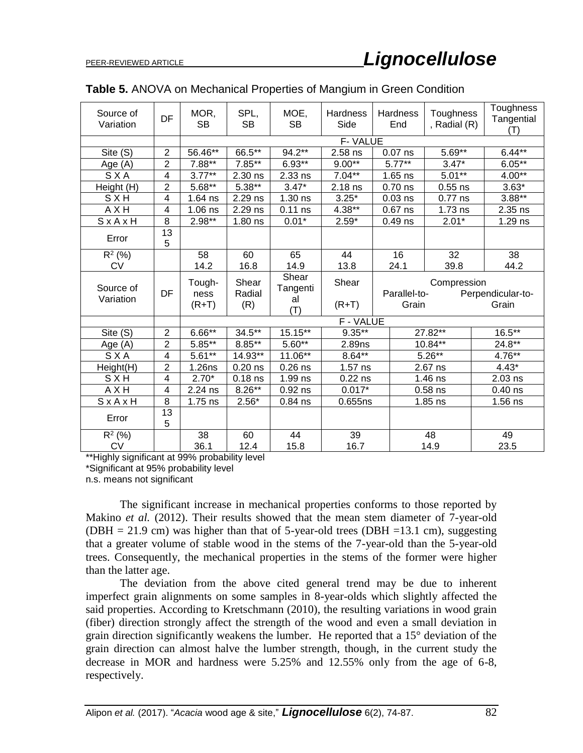| Source of<br>Variation | DF                      | MOR,<br><b>SB</b>         | SPL,<br><b>SB</b>      | MOE,<br><b>SB</b>              | Hardness<br>Side |  | Hardness<br>End                      | Toughness<br>, Radial (R) | Toughness<br>Tangential<br>(T) |
|------------------------|-------------------------|---------------------------|------------------------|--------------------------------|------------------|--|--------------------------------------|---------------------------|--------------------------------|
|                        |                         |                           |                        |                                | F-VALUE          |  |                                      |                           |                                |
| Site (S)               | $\overline{2}$          | 56.46**                   | 66.5**                 | 94.2**                         | 2.58 ns          |  | $0.07$ ns                            | $5.69**$                  | $6.44**$                       |
| Age (A)                | $\overline{2}$          | $7.88**$                  | $7.85***$              | $6.93**$                       | $9.00**$         |  | $5.77***$                            | $3.47*$                   | $6.05***$                      |
| SXA                    | $\overline{\mathbf{4}}$ | $3.77***$                 | 2.30 ns                | 2.33 ns                        | $7.04**$         |  | $1.65$ ns                            | $5.01**$                  | $4.00**$                       |
| Height (H)             | $\overline{2}$          | $5.68**$                  | $5.38**$               | $3.47*$                        | 2.18 ns          |  | $0.70$ ns                            | $0.55$ ns                 | $3.63*$                        |
| <b>SXH</b>             | $\overline{\mathbf{4}}$ | $1.64$ ns                 | 2.29 ns                | $1.30$ ns                      | $3.25*$          |  | $0.03$ ns                            | $0.77$ ns                 | $3.88**$                       |
| A X H                  | 4                       | $1.06$ ns                 | 2.29 ns                | $0.11$ ns                      | 4.38**           |  | $0.67$ ns                            | $1.73$ ns                 | 2.35 ns                        |
| SxAxH                  | 8                       | $2.98**$                  | $1.80$ ns              | $0.01*$                        | $2.59*$          |  | $0.49$ ns                            | $2.01*$                   | 1.29 ns                        |
| Error                  | 13<br>5                 |                           |                        |                                |                  |  |                                      |                           |                                |
| $R^2$ (%)              |                         | 58                        | 60                     | 65                             | 44               |  | 16                                   | 32                        | 38                             |
| <b>CV</b>              |                         | 14.2                      | 16.8                   | 14.9                           | 13.8             |  | 24.1                                 | 39.8                      | 44.2                           |
| Source of<br>Variation | DF                      | Tough-<br>ness<br>$(R+T)$ | Shear<br>Radial<br>(R) | Shear<br>Tangenti<br>al<br>(T) | Shear<br>$(R+T)$ |  | Compression<br>Parallel-to-<br>Grain |                           | Perpendicular-to-<br>Grain     |
|                        |                         |                           |                        |                                | F - VALUE        |  |                                      |                           |                                |
| Site (S)               | $\overline{2}$          | $6.66***$                 | $34.5***$              | 15.15**                        | $9.35***$        |  |                                      | 27.82**                   | $16.5***$                      |
| Age(A)                 | $\overline{2}$          | $5.85**$                  | $8.85***$              | $5.60**$                       | 2.89ns           |  |                                      | $10.84***$                | $24.8**$                       |
| SXA                    | $\overline{\mathbf{4}}$ | $5.61**$                  | 14.93**                | 11.06**                        | $8.64***$        |  |                                      | $5.26***$                 | $4.76***$                      |
| Height(H)              | $\overline{2}$          | 1.26ns                    | $0.20$ ns              | $0.26$ ns                      | $1.57$ ns        |  |                                      | 2.67 ns                   | $4.43*$                        |
| <b>SXH</b>             | $\overline{\mathbf{4}}$ | $2.70*$                   | $0.18$ ns              | 1.99 ns                        | $0.22$ ns        |  |                                      | $1.46$ ns                 | $2.03$ ns                      |
| AXH                    | $\overline{\mathbf{4}}$ | 2.24 ns                   | $8.26***$              | $0.92$ ns                      | $0.017*$         |  |                                      | $0.58$ ns                 | $0.40$ ns                      |
| SxAxH                  | 8                       | $1.75$ ns                 | $2.56*$                | $0.84$ ns                      | 0.655ns          |  |                                      | $1.85$ ns                 | $1.56$ ns                      |
| Error                  | 13<br>5                 |                           |                        |                                |                  |  |                                      |                           |                                |
| $R^2$ (%)              |                         | 38                        | 60                     | 44                             | 39               |  |                                      | 48                        | 49                             |
| <b>CV</b>              |                         | 36.1                      | 12.4                   | 15.8                           | 16.7             |  | 14.9                                 |                           | 23.5                           |

# **Table 5.** ANOVA on Mechanical Properties of Mangium in Green Condition

\*\*Highly significant at 99% probability level \*Significant at 95% probability level n.s. means not significant

The significant increase in mechanical properties conforms to those reported by Makino *et al.* (2012). Their results showed that the mean stem diameter of 7-year-old (DBH = 21.9 cm) was higher than that of 5-year-old trees (DBH = 13.1 cm), suggesting that a greater volume of stable wood in the stems of the 7-year-old than the 5-year-old trees. Consequently, the mechanical properties in the stems of the former were higher than the latter age.

The deviation from the above cited general trend may be due to inherent imperfect grain alignments on some samples in 8-year-olds which slightly affected the said properties. According to Kretschmann (2010), the resulting variations in wood grain (fiber) direction strongly affect the strength of the wood and even a small deviation in grain direction significantly weakens the lumber. He reported that a 15° deviation of the grain direction can almost halve the lumber strength, though, in the current study the decrease in MOR and hardness were 5.25% and 12.55% only from the age of 6-8, respectively.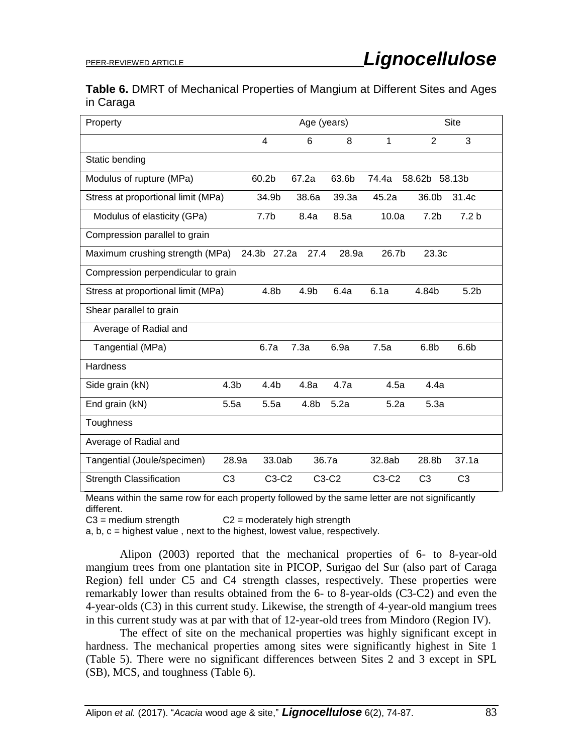|           | Table 6. DMRT of Mechanical Properties of Mangium at Different Sites and Ages |  |  |  |
|-----------|-------------------------------------------------------------------------------|--|--|--|
| in Caraga |                                                                               |  |  |  |

| Property                           |                  |                  | Age (years) |       |         | Site             |                  |  |
|------------------------------------|------------------|------------------|-------------|-------|---------|------------------|------------------|--|
|                                    |                  | 4                | 6           | 8     | 1       | 2                | 3                |  |
| Static bending                     |                  |                  |             |       |         |                  |                  |  |
| Modulus of rupture (MPa)           |                  | 60.2b            | 67.2a       | 63.6b | 74.4a   | 58.62b           | 58.13b           |  |
| Stress at proportional limit (MPa) |                  | 34.9b            | 38.6a       | 39.3a | 45.2a   | 36.0b            | 31.4c            |  |
| Modulus of elasticity (GPa)        |                  | 7.7 <sub>b</sub> | 8.4a        | 8.5a  | 10.0a   | 7.2 <sub>b</sub> | 7.2 <sub>b</sub> |  |
| Compression parallel to grain      |                  |                  |             |       |         |                  |                  |  |
| Maximum crushing strength (MPa)    |                  | 24.3b 27.2a      | 27.4        | 28.9a | 26.7b   | 23.3c            |                  |  |
| Compression perpendicular to grain |                  |                  |             |       |         |                  |                  |  |
| Stress at proportional limit (MPa) |                  | 4.8b             | 4.9b        | 6.4a  | 6.1a    | 4.84b            | 5.2 <sub>b</sub> |  |
| Shear parallel to grain            |                  |                  |             |       |         |                  |                  |  |
| Average of Radial and              |                  |                  |             |       |         |                  |                  |  |
| Tangential (MPa)                   |                  | 6.7a             | 7.3a        | 6.9a  | 7.5a    | 6.8 <sub>b</sub> | 6.6 <sub>b</sub> |  |
| <b>Hardness</b>                    |                  |                  |             |       |         |                  |                  |  |
| Side grain (kN)                    | 4.3 <sub>b</sub> | 4.4 <sub>b</sub> | 4.8a        | 4.7a  | 4.5a    | 4.4a             |                  |  |
| End grain (kN)                     | 5.5a             | 5.5a             | 4.8b        | 5.2a  | 5.2a    | 5.3a             |                  |  |
| Toughness                          |                  |                  |             |       |         |                  |                  |  |
| Average of Radial and              |                  |                  |             |       |         |                  |                  |  |
| Tangential (Joule/specimen)        | 28.9a            | 33.0ab           | 36.7a       |       | 32.8ab  | 28.8b            | 37.1a            |  |
| <b>Strength Classification</b>     | C <sub>3</sub>   | $C3-C2$          | C3-C2       |       | $C3-C2$ | C <sub>3</sub>   | C <sub>3</sub>   |  |

Means within the same row for each property followed by the same letter are not significantly different.

 $C3$  = medium strength  $C2$  = moderately high strength

 $a, b, c =$  highest value, next to the highest, lowest value, respectively.

Alipon (2003) reported that the mechanical properties of 6- to 8-year-old mangium trees from one plantation site in PICOP, Surigao del Sur (also part of Caraga Region) fell under C5 and C4 strength classes, respectively. These properties were remarkably lower than results obtained from the 6- to 8-year-olds (C3-C2) and even the 4-year-olds (C3) in this current study. Likewise, the strength of 4-year-old mangium trees in this current study was at par with that of 12-year-old trees from Mindoro (Region IV).

The effect of site on the mechanical properties was highly significant except in hardness. The mechanical properties among sites were significantly highest in Site 1 (Table 5). There were no significant differences between Sites 2 and 3 except in SPL (SB), MCS, and toughness (Table 6).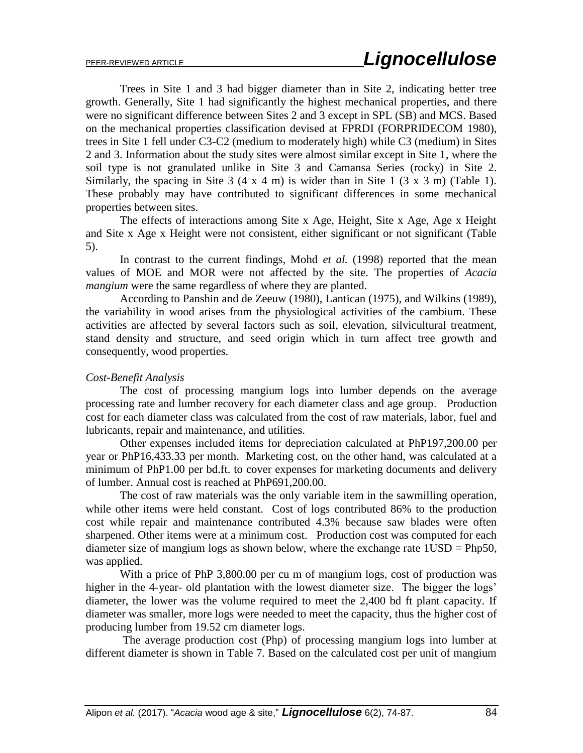Trees in Site 1 and 3 had bigger diameter than in Site 2, indicating better tree growth. Generally, Site 1 had significantly the highest mechanical properties, and there were no significant difference between Sites 2 and 3 except in SPL (SB) and MCS. Based on the mechanical properties classification devised at FPRDI (FORPRIDECOM 1980), trees in Site 1 fell under C3-C2 (medium to moderately high) while C3 (medium) in Sites 2 and 3. Information about the study sites were almost similar except in Site 1, where the soil type is not granulated unlike in Site 3 and Camansa Series (rocky) in Site 2. Similarly, the spacing in Site 3 (4 x 4 m) is wider than in Site 1 (3 x 3 m) (Table 1). These probably may have contributed to significant differences in some mechanical properties between sites.

The effects of interactions among Site x Age, Height, Site x Age, Age x Height and Site x Age x Height were not consistent, either significant or not significant (Table 5).

In contrast to the current findings, Mohd *et al.* (1998) reported that the mean values of MOE and MOR were not affected by the site. The properties of *Acacia mangium* were the same regardless of where they are planted.

According to Panshin and de Zeeuw (1980), Lantican (1975), and Wilkins (1989), the variability in wood arises from the physiological activities of the cambium. These activities are affected by several factors such as soil, elevation, silvicultural treatment, stand density and structure, and seed origin which in turn affect tree growth and consequently, wood properties.

### *Cost-Benefit Analysis*

The cost of processing mangium logs into lumber depends on the average processing rate and lumber recovery for each diameter class and age group. Production cost for each diameter class was calculated from the cost of raw materials, labor, fuel and lubricants, repair and maintenance, and utilities.

Other expenses included items for depreciation calculated at PhP197,200.00 per year or PhP16,433.33 per month. Marketing cost, on the other hand, was calculated at a minimum of PhP1.00 per bd.ft. to cover expenses for marketing documents and delivery of lumber. Annual cost is reached at PhP691,200.00.

The cost of raw materials was the only variable item in the sawmilling operation, while other items were held constant. Cost of logs contributed 86% to the production cost while repair and maintenance contributed 4.3% because saw blades were often sharpened. Other items were at a minimum cost. Production cost was computed for each diameter size of mangium logs as shown below, where the exchange rate 1USD = Php50, was applied.

With a price of PhP 3,800.00 per cu m of mangium logs, cost of production was higher in the 4-year- old plantation with the lowest diameter size. The bigger the logs' diameter, the lower was the volume required to meet the 2,400 bd ft plant capacity. If diameter was smaller, more logs were needed to meet the capacity, thus the higher cost of producing lumber from 19.52 cm diameter logs.

The average production cost (Php) of processing mangium logs into lumber at different diameter is shown in Table 7. Based on the calculated cost per unit of mangium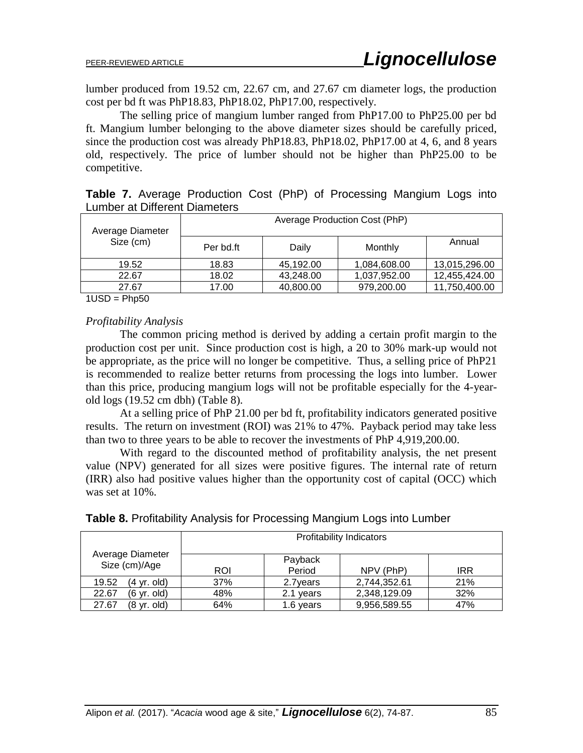lumber produced from 19.52 cm, 22.67 cm, and 27.67 cm diameter logs, the production cost per bd ft was PhP18.83, PhP18.02, PhP17.00, respectively.

The selling price of mangium lumber ranged from PhP17.00 to PhP25.00 per bd ft. Mangium lumber belonging to the above diameter sizes should be carefully priced, since the production cost was already PhP18.83, PhP18.02, PhP17.00 at 4, 6, and 8 years old, respectively. The price of lumber should not be higher than PhP25.00 to be competitive.

| Average Diameter | Average Production Cost (PhP) |           |              |               |  |  |  |  |  |
|------------------|-------------------------------|-----------|--------------|---------------|--|--|--|--|--|
| Size (cm)        | Per bd.ft                     | Daily     | Monthly      | Annual        |  |  |  |  |  |
| 19.52            | 18.83                         | 45,192.00 | 1,084,608.00 | 13,015,296.00 |  |  |  |  |  |
| 22.67            | 18.02                         | 43,248.00 | 1,037,952.00 | 12,455,424.00 |  |  |  |  |  |
| 27.67            | 17.00                         | 40,800.00 | 979,200.00   | 11,750,400.00 |  |  |  |  |  |

|  |                               |  | <b>Table 7.</b> Average Production Cost (PhP) of Processing Mangium Logs into |  |  |
|--|-------------------------------|--|-------------------------------------------------------------------------------|--|--|
|  | Lumber at Different Diameters |  |                                                                               |  |  |

 $1USD = Php50$ 

# *Profitability Analysis*

The common pricing method is derived by adding a certain profit margin to the production cost per unit. Since production cost is high, a 20 to 30% mark-up would not be appropriate, as the price will no longer be competitive. Thus, a selling price of PhP21 is recommended to realize better returns from processing the logs into lumber. Lower than this price, producing mangium logs will not be profitable especially for the 4-yearold logs (19.52 cm dbh) (Table 8).

At a selling price of PhP 21.00 per bd ft, profitability indicators generated positive results. The return on investment (ROI) was 21% to 47%. Payback period may take less than two to three years to be able to recover the investments of PhP 4,919,200.00.

With regard to the discounted method of profitability analysis, the net present value (NPV) generated for all sizes were positive figures. The internal rate of return (IRR) also had positive values higher than the opportunity cost of capital (OCC) which was set at 10%.

| Table 8. Profitability Analysis for Processing Mangium Logs into Lumber |  |  |  |
|-------------------------------------------------------------------------|--|--|--|
|                                                                         |  |  |  |

|                                   | <b>Profitability Indicators</b> |                   |              |            |  |  |  |  |  |
|-----------------------------------|---------------------------------|-------------------|--------------|------------|--|--|--|--|--|
| Average Diameter<br>Size (cm)/Age | <b>ROI</b>                      | Payback<br>Period | NPV (PhP)    | <b>IRR</b> |  |  |  |  |  |
| 19.52<br>(4 yr. old)              | 37%                             | 2.7 years         | 2,744,352.61 | 21%        |  |  |  |  |  |
| 22.67<br>(6 yr. old)              | 48%                             | 2.1 years         | 2,348,129.09 | 32%        |  |  |  |  |  |
| 27.67<br>(8 yr. old)              | 64%                             | 1.6 years         | 9,956,589.55 | 47%        |  |  |  |  |  |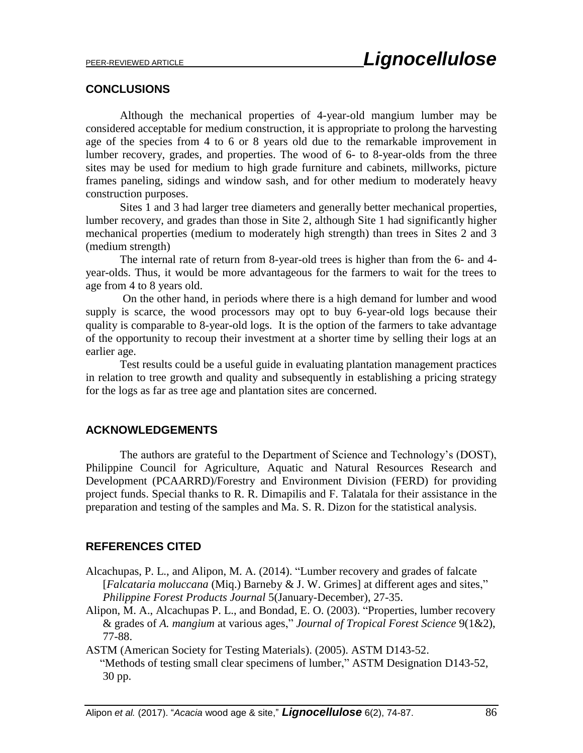# **CONCLUSIONS**

Although the mechanical properties of 4-year-old mangium lumber may be considered acceptable for medium construction, it is appropriate to prolong the harvesting age of the species from 4 to 6 or 8 years old due to the remarkable improvement in lumber recovery, grades, and properties. The wood of 6- to 8-year-olds from the three sites may be used for medium to high grade furniture and cabinets, millworks, picture frames paneling, sidings and window sash, and for other medium to moderately heavy construction purposes.

Sites 1 and 3 had larger tree diameters and generally better mechanical properties, lumber recovery, and grades than those in Site 2, although Site 1 had significantly higher mechanical properties (medium to moderately high strength) than trees in Sites 2 and 3 (medium strength)

The internal rate of return from 8-year-old trees is higher than from the 6- and 4 year-olds. Thus, it would be more advantageous for the farmers to wait for the trees to age from 4 to 8 years old.

On the other hand, in periods where there is a high demand for lumber and wood supply is scarce, the wood processors may opt to buy 6-year-old logs because their quality is comparable to 8-year-old logs. It is the option of the farmers to take advantage of the opportunity to recoup their investment at a shorter time by selling their logs at an earlier age.

Test results could be a useful guide in evaluating plantation management practices in relation to tree growth and quality and subsequently in establishing a pricing strategy for the logs as far as tree age and plantation sites are concerned.

# **ACKNOWLEDGEMENTS**

The authors are grateful to the Department of Science and Technology's (DOST), Philippine Council for Agriculture, Aquatic and Natural Resources Research and Development (PCAARRD)/Forestry and Environment Division (FERD) for providing project funds. Special thanks to R. R. Dimapilis and F. Talatala for their assistance in the preparation and testing of the samples and Ma. S. R. Dizon for the statistical analysis.

# **REFERENCES CITED**

- Alcachupas, P. L., and Alipon, M. A. (2014). "Lumber recovery and grades of falcate [*Falcataria moluccana* (Miq.) Barneby & J. W. Grimes] at different ages and sites," *Philippine Forest Products Journal* 5(January-December), 27-35.
- Alipon, M. A., Alcachupas P. L., and Bondad, E. O. (2003). "Properties, lumber recovery & grades of *A. mangium* at various ages," *Journal of Tropical Forest Science* 9(1&2), 77-88.
- ASTM (American Society for Testing Materials). (2005). ASTM D143-52. "Methods of testing small clear specimens of lumber," ASTM Designation D143-52, 30 pp.